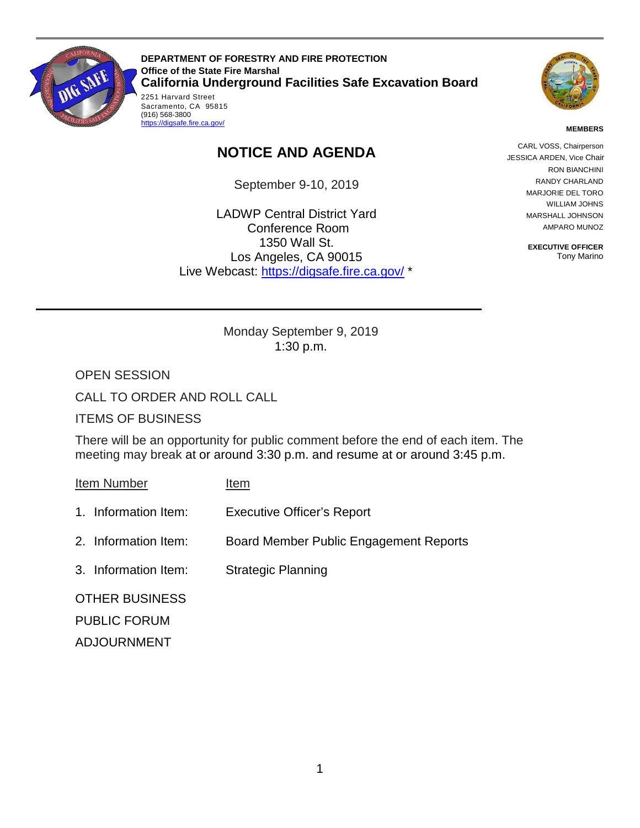

Sacramento, CA 95815<br>(916) 568-3800 **DEPARTMENT OF FORESTRY AND FIRE PROTECTION Office of the State Fire Marshal California Underground Facilities Safe Excavation Board**  2251 Harvard Street



#### **MEMBERS**

# **NOTICE AND AGENDA**

September 9-10, 2019

LADWP Central District Yard Conference Room 1350 Wall St. Los Angeles, CA 90015 Live Webcast: [https://digsafe.fire.ca.gov/](https://global.gotomeeting.com/join/883967957) \*

CARL VOSS, Chairperson CARL VOSS, Chairperson JESSICA ARDEN, Vice Chair RON BIANCHINI RANDY CHARLAND MARJORIE DEL TORO WILLIAM JOHNS MARSHALL JOHNSON AMPARO MUNOZ

> **EXECUTIVE OFFICER**  Tony Marino

 Monday September 9, 2019 1:30 p.m.

OPEN SESSION

CALL TO ORDER AND ROLL CALL

(916) 568-3800<br><u>https://digsafe.fire.ca.gov/</u>

ITEMS OF BUSINESS

There will be an opportunity for public comment before the end of each item. The meeting may break at or around 3:30 p.m. and resume at or around 3:45 p.m.

Item Number Item

- 1. Information Item: Executive Officer's Report
- 2. Information Item: Board Member Public Engagement Reports
- 3. Information Item: Strategic Planning

OTHER BUSINESS PUBLIC FORUM ADJOURNMENT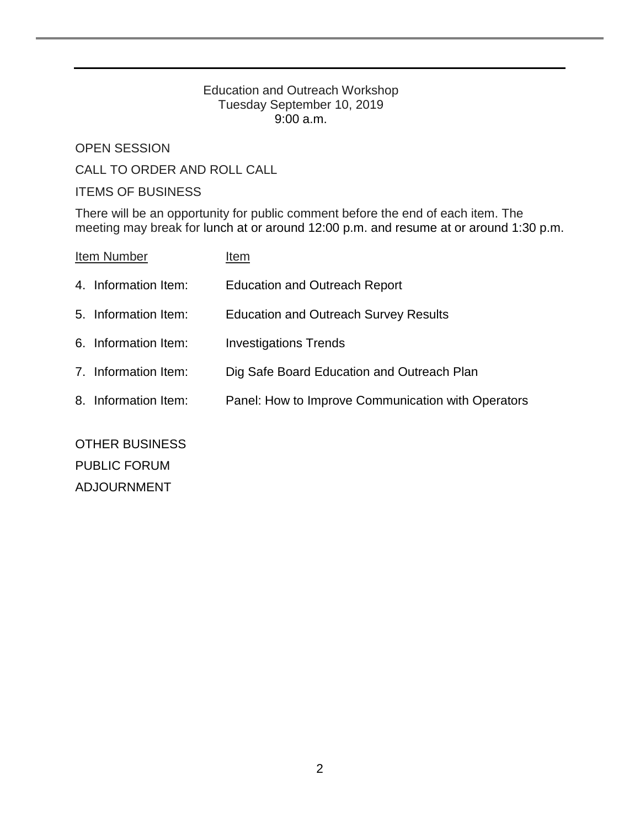### Education and Outreach Workshop Tuesday September 10, 2019 9:00 a.m.

OPEN SESSION

CALL TO ORDER AND ROLL CALL

## ITEMS OF BUSINESS

There will be an opportunity for public comment before the end of each item. The meeting may break for lunch at or around 12:00 p.m. and resume at or around 1:30 p.m.

| Item Number |                      | Item                                               |
|-------------|----------------------|----------------------------------------------------|
|             | 4. Information Item: | <b>Education and Outreach Report</b>               |
|             | 5. Information Item: | <b>Education and Outreach Survey Results</b>       |
|             | 6. Information Item: | <b>Investigations Trends</b>                       |
|             | 7. Information Item: | Dig Safe Board Education and Outreach Plan         |
|             | 8. Information Item: | Panel: How to Improve Communication with Operators |
|             |                      |                                                    |

OTHER BUSINESS PUBLIC FORUM ADJOURNMENT